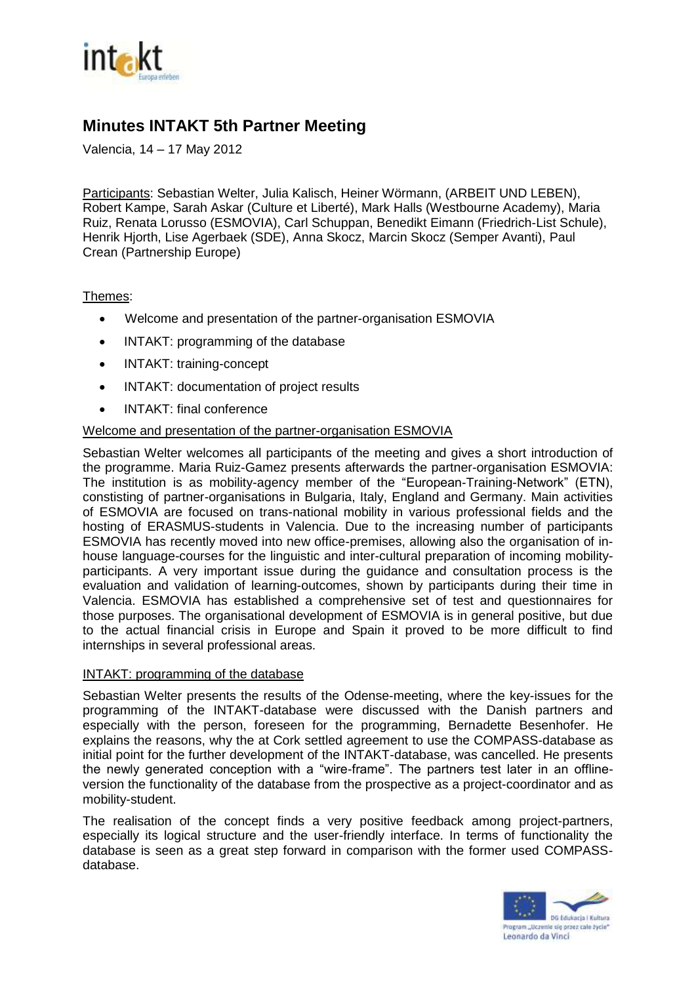

# **Minutes INTAKT 5th Partner Meeting**

Valencia, 14 – 17 May 2012

Participants: Sebastian Welter, Julia Kalisch, Heiner Wörmann, (ARBEIT UND LEBEN), Robert Kampe, Sarah Askar (Culture et Liberté), Mark Halls (Westbourne Academy), Maria Ruiz, Renata Lorusso (ESMOVIA), Carl Schuppan, Benedikt Eimann (Friedrich-List Schule), Henrik Hjorth, Lise Agerbaek (SDE), Anna Skocz, Marcin Skocz (Semper Avanti), Paul Crean (Partnership Europe)

## Themes:

- Welcome and presentation of the partner-organisation ESMOVIA
- INTAKT: programming of the database
- INTAKT: training-concept
- INTAKT: documentation of project results
- INTAKT: final conference

## Welcome and presentation of the partner-organisation ESMOVIA

Sebastian Welter welcomes all participants of the meeting and gives a short introduction of the programme. Maria Ruiz-Gamez presents afterwards the partner-organisation ESMOVIA: The institution is as mobility-agency member of the "European-Training-Network" (ETN), constisting of partner-organisations in Bulgaria, Italy, England and Germany. Main activities of ESMOVIA are focused on trans-national mobility in various professional fields and the hosting of ERASMUS-students in Valencia. Due to the increasing number of participants ESMOVIA has recently moved into new office-premises, allowing also the organisation of inhouse language-courses for the linguistic and inter-cultural preparation of incoming mobilityparticipants. A very important issue during the guidance and consultation process is the evaluation and validation of learning-outcomes, shown by participants during their time in Valencia. ESMOVIA has established a comprehensive set of test and questionnaires for those purposes. The organisational development of ESMOVIA is in general positive, but due to the actual financial crisis in Europe and Spain it proved to be more difficult to find internships in several professional areas.

#### INTAKT: programming of the database

Sebastian Welter presents the results of the Odense-meeting, where the key-issues for the programming of the INTAKT-database were discussed with the Danish partners and especially with the person, foreseen for the programming, Bernadette Besenhofer. He explains the reasons, why the at Cork settled agreement to use the COMPASS-database as initial point for the further development of the INTAKT-database, was cancelled. He presents the newly generated conception with a "wire-frame". The partners test later in an offlineversion the functionality of the database from the prospective as a project-coordinator and as mobility-student.

The realisation of the concept finds a very positive feedback among project-partners, especially its logical structure and the user-friendly interface. In terms of functionality the database is seen as a great step forward in comparison with the former used COMPASSdatabase.

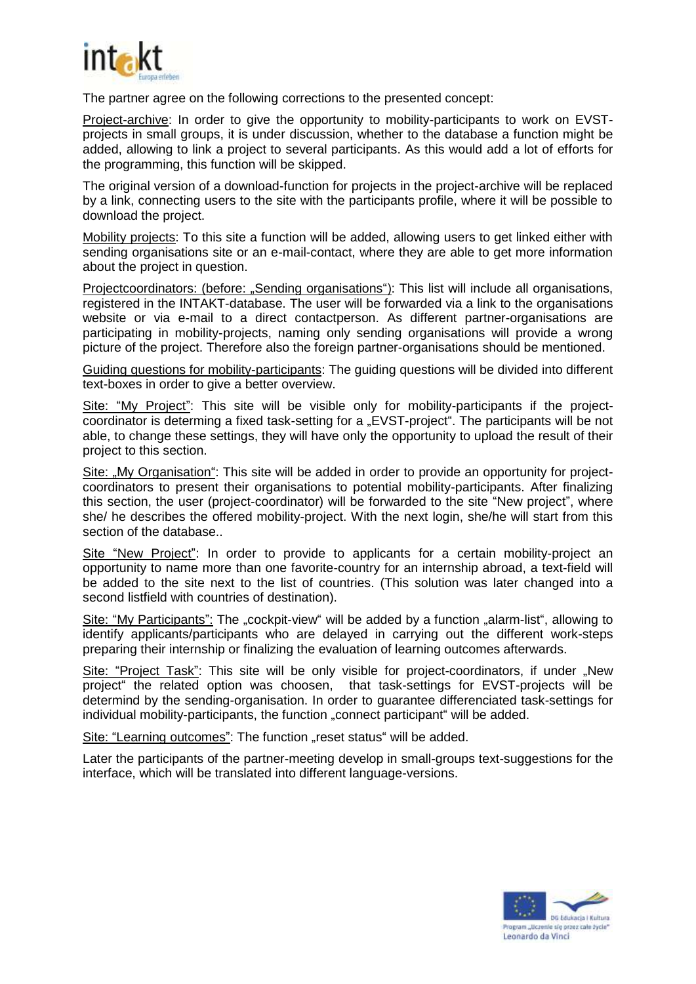

The partner agree on the following corrections to the presented concept:

Project-archive: In order to give the opportunity to mobility-participants to work on EVSTprojects in small groups, it is under discussion, whether to the database a function might be added, allowing to link a project to several participants. As this would add a lot of efforts for the programming, this function will be skipped.

The original version of a download-function for projects in the project-archive will be replaced by a link, connecting users to the site with the participants profile, where it will be possible to download the project.

Mobility projects: To this site a function will be added, allowing users to get linked either with sending organisations site or an e-mail-contact, where they are able to get more information about the project in question.

Projectcoordinators: (before: "Sending organisations"): This list will include all organisations, registered in the INTAKT-database. The user will be forwarded via a link to the organisations website or via e-mail to a direct contactperson. As different partner-organisations are participating in mobility-projects, naming only sending organisations will provide a wrong picture of the project. Therefore also the foreign partner-organisations should be mentioned.

Guiding questions for mobility-participants: The guiding questions will be divided into different text-boxes in order to give a better overview.

Site: "My Project": This site will be visible only for mobility-participants if the projectcoordinator is determing a fixed task-setting for a "EVST-project". The participants will be not able, to change these settings, they will have only the opportunity to upload the result of their project to this section.

Site: "My Organisation": This site will be added in order to provide an opportunity for projectcoordinators to present their organisations to potential mobility-participants. After finalizing this section, the user (project-coordinator) will be forwarded to the site "New project", where she/ he describes the offered mobility-project. With the next login, she/he will start from this section of the database..

Site "New Project": In order to provide to applicants for a certain mobility-project an opportunity to name more than one favorite-country for an internship abroad, a text-field will be added to the site next to the list of countries. (This solution was later changed into a second listfield with countries of destination).

Site: "My Participants": The "cockpit-view" will be added by a function "alarm-list", allowing to identify applicants/participants who are delayed in carrying out the different work-steps preparing their internship or finalizing the evaluation of learning outcomes afterwards.

Site: "Project Task": This site will be only visible for project-coordinators, if under "New project" the related option was choosen, that task-settings for EVST-projects will be determind by the sending-organisation. In order to guarantee differenciated task-settings for individual mobility-participants, the function "connect participant" will be added.

Site: "Learning outcomes": The function "reset status" will be added.

Later the participants of the partner-meeting develop in small-groups text-suggestions for the interface, which will be translated into different language-versions.